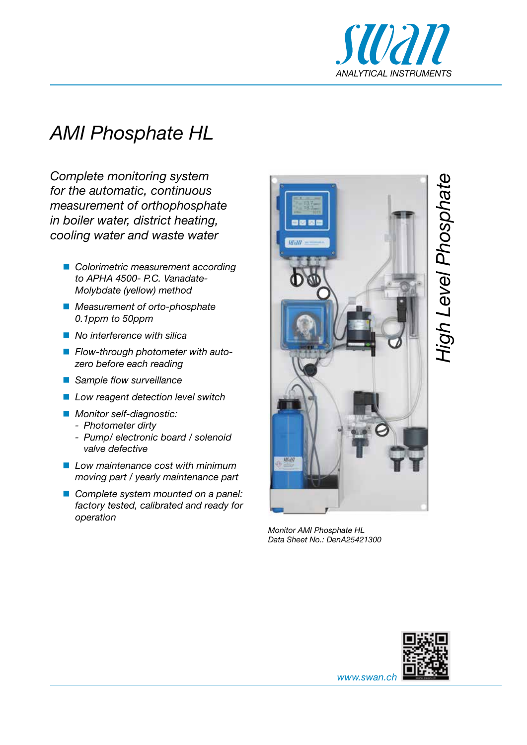

# *AMI Phosphate HL*

*Complete monitoring system for the automatic, continuous measurement of orthophosphate in boiler water, district heating, cooling water and waste water*

- *Colorimetric measurement according to APHA 4500- P.C. Vanadate-Molybdate (yellow) method*
- *Measurement of orto-phosphate 0.1ppm to 50ppm*
- *No interference with silica*
- *Flow-through photometer with autozero before each reading*
- *Sample flow surveillance*
- *Low reagent detection level switch*
- *Monitor self-diagnostic:* 
	- *- Photometer dirty*
	- *- Pump/ electronic board / solenoid valve defective*
- *Low maintenance cost with minimum moving part / yearly maintenance part*
- *Complete system mounted on a panel: factory tested, calibrated and ready for operation*



*Monitor AMI Phosphate HL Data Sheet No.: DenA25421300*



*www.swan.ch*